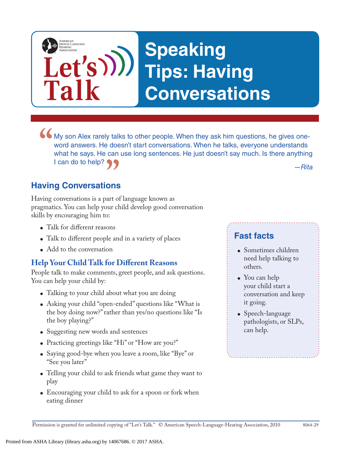

• My son Alex rarely talks to other people. When they ask him questions, he gives one-<br>word answers. He doesn't start conversations. When he talks, everyone understands<br>what he says. He can use long sentences. He just does word answers. He doesn't start conversations. When he talks, everyone understands what he says. He can use long sentences. He just doesn't say much. Is there anything I can do to help?

*—Rita*

# **Having Conversations "**<br> **ons**<br>
art of

Having conversations is a part of language known as pragmatics. You can help your child develop good conversation skills by encouraging him to:

- Talk for different reasons
- Talk to different people and in a variety of places
- Add to the conversation

#### **Help Your Child Talk for Different Reasons**

People talk to make comments, greet people, and ask questions. You can help your child by:

- Talking to your child about what you are doing
- Asking your child "open-ended" questions like "What is the boy doing now?" rather than yes/no questions like "Is the boy playing?"
- Suggesting new words and sentences
- Practicing greetings like "Hi" or "How are you?"
- Saying good-bye when you leave a room, like "Bye" or "See you later"
- Telling your child to ask friends what game they want to play
- Encouraging your child to ask for a spoon or fork when eating dinner

## **Fast facts**

- Sometimes children need help talking to others.
- You can help your child start a conversation and keep it going.
- Speech-language pathologists, or SLPs, can help.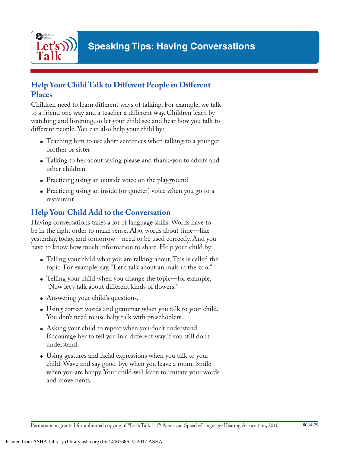

#### **Help Your Child Talk to Different People in Different Places**

Children need to learn different ways of talking. For example, we talk to a friend one way and a teacher a different way. Children learn by watching and listening, so let your child see and hear how you talk to different people. You can also help your child by:

- Teaching him to use short sentences when talking to a younger brother or sister
- Talking to her about saying please and thank-you to adults and other children
- Practicing using an outside voice on the playground
- Practicing using an inside (or quieter) voice when you go to a restaurant

## **Help Your Child Add to the Conversation**

Having conversations takes a lot of language skills. Words have to be in the right order to make sense. Also, words about time—like yesterday, today, and tomorrow—need to be used correctly. And you have to know how much information to share. Help your child by:

- Telling your child what you are talking about. This is called the topic. For example, say, "Let's talk about animals in the zoo."
- Telling your child when you change the topic—for example, "Now let's talk about different kinds of flowers."
- Answering your child's questions.
- Using correct words and grammar when you talk to your child. You don't need to use baby talk with preschoolers.
- Asking your child to repeat when you don't understand. Encourage her to tell you in a different way if you still don't understand.
- Using gestures and facial expressions when you talk to your child. Wave and say good-bye when you leave a room. Smile when you are happy. Your child will learn to imitate your words and movements.